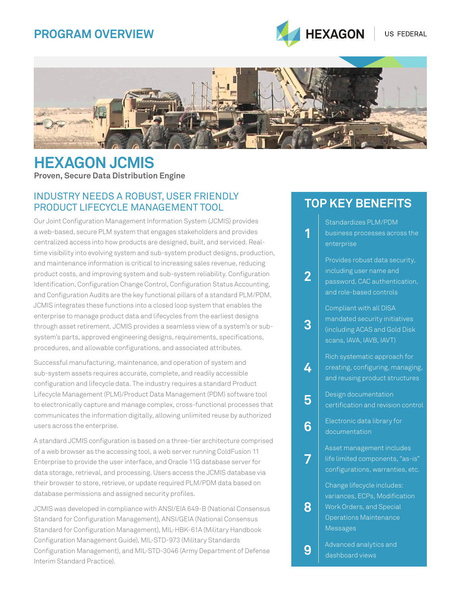# **PROGRAM OVERVIEW**





# **HEXAGON JCMIS Proven, Secure Data Distribution Engine**

## INDUSTRY NEEDS A ROBUST, USER FRIENDLY PRODUCT LIFECYCLE MANAGEMENT TOOL

Our Joint Configuration Management Information System (JCMIS) provides a web-based, secure PLM system that engages stakeholders and provides centralized access into how products are designed, built, and serviced. Realtime visibility into evolving system and sub-system product designs, production, and maintenance information is critical to increasing sales revenue, reducing product costs, and improving system and sub-system reliability. Configuration Identification, Configuration Change Control, Configuration Status Accounting, and Configuration Audits are the key functional pillars of a standard PLM/PDM. JCMIS integrates these functions into a closed loop system that enables the enterprise to manage product data and lifecycles from the earliest designs through asset retirement. JCMIS provides a seamless view of a system's or subsystem's parts, approved engineering designs, requirements, specifications, procedures, and allowable configurations, and associated attributes.

Successful manufacturing, maintenance, and operation of system and sub-system assets requires accurate, complete, and readily accessible configuration and lifecycle data. The industry requires a standard Product Lifecycle Management (PLM)/Product Data Management (PDM) software tool to electronically capture and manage complex, cross-functional processes that communicates the information digitally, allowing unlimited reuse by authorized users across the enterprise.

A standard JCMIS configuration is based on a three-tier architecture comprised of a web browser as the accessing tool, a web server running ColdFusion 11 Enterprise to provide the user interface, and Oracle 11G database server for data storage, retrieval, and processing. Users access the JCMIS database via their browser to store, retrieve, or update required PLM/PDM data based on database permissions and assigned security profiles.

JCMIS was developed in compliance with ANSI/EIA 649-B (National Consensus Standard for Configuration Management), ANSI/GEIA (National Consensus Standard for Configuration Management), MIL-HBK-61A (Military Handbook Configuration Management Guide), MIL-STD-973 (Military Standards Configuration Management), and MIL-STD-3046 (Army Department of Defense Interim Standard Practice).

# **TOP KEY BENEFITS**

|   | <b>Standardizes PLM/PDM</b>        |
|---|------------------------------------|
|   | business processes across the      |
|   | enterprise                         |
|   | Provides robust data security,     |
|   | including user name and            |
|   | password, CAC authentication,      |
|   | and role-based controls            |
|   | Compliant with all DISA            |
| 3 | mandated security initiatives      |
|   | (including ACAS and Gold Disk      |
|   | scans, IAVA, IAVB, IAVT)           |
|   | Rich systematic approach for       |
|   | creating, configuring, managing,   |
|   | and reusing product structures     |
|   | Design documentation               |
| 5 | certification and revision control |
|   | Electronic data library for        |
| 6 | documentation                      |
|   | Asset management includes          |
|   | life limited components, "as-is"   |
|   | configurations, warranties, etc.   |
|   | Change lifecycle includes:         |
|   | variances, ECPs, Modification      |
| 8 | <b>Work Orders, and Special</b>    |
|   | <b>Operations Maintenance</b>      |
|   | <b>Messages</b>                    |
|   | Advanced analytics and             |
|   | dashboard views                    |